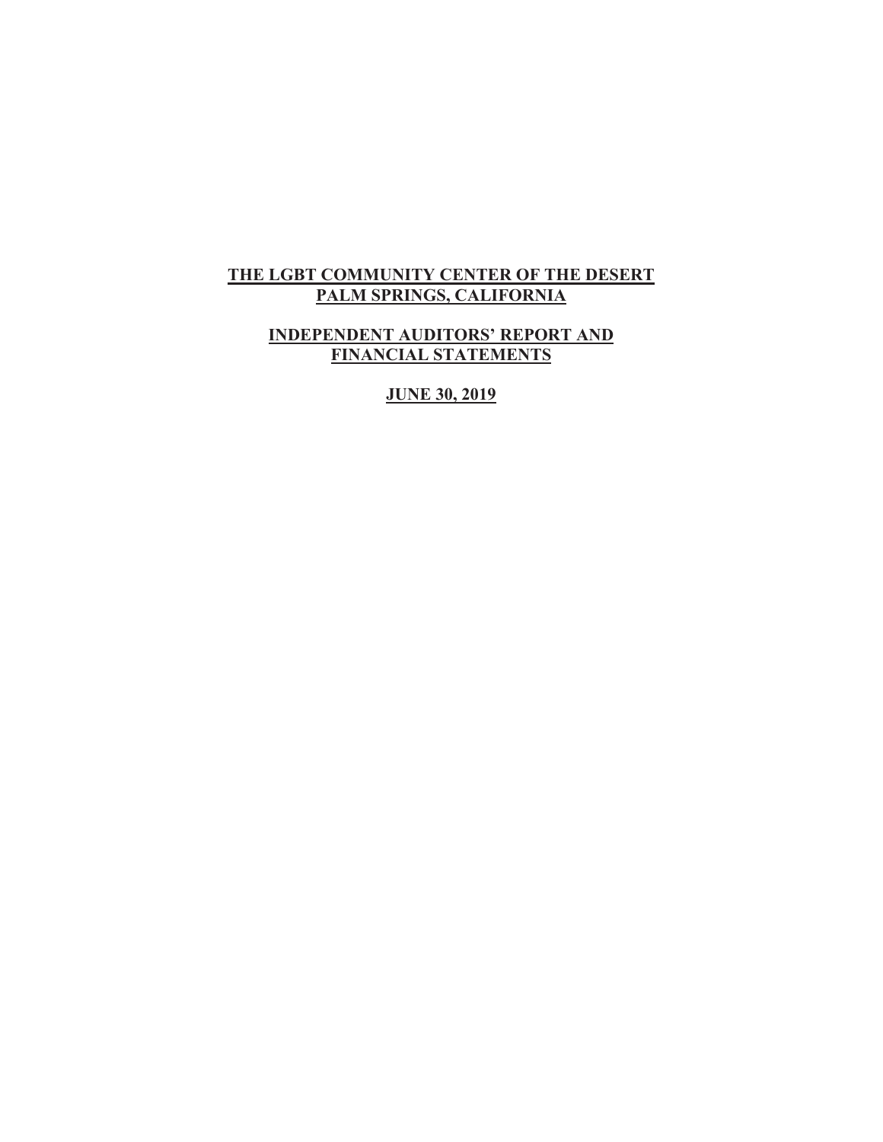### THE LGBT COMMUNITY CENTER OF THE DESERT PALM SPRINGS, CALIFORNIA

### **INDEPENDENT AUDITORS' REPORT AND FINANCIAL STATEMENTS**

**JUNE 30, 2019**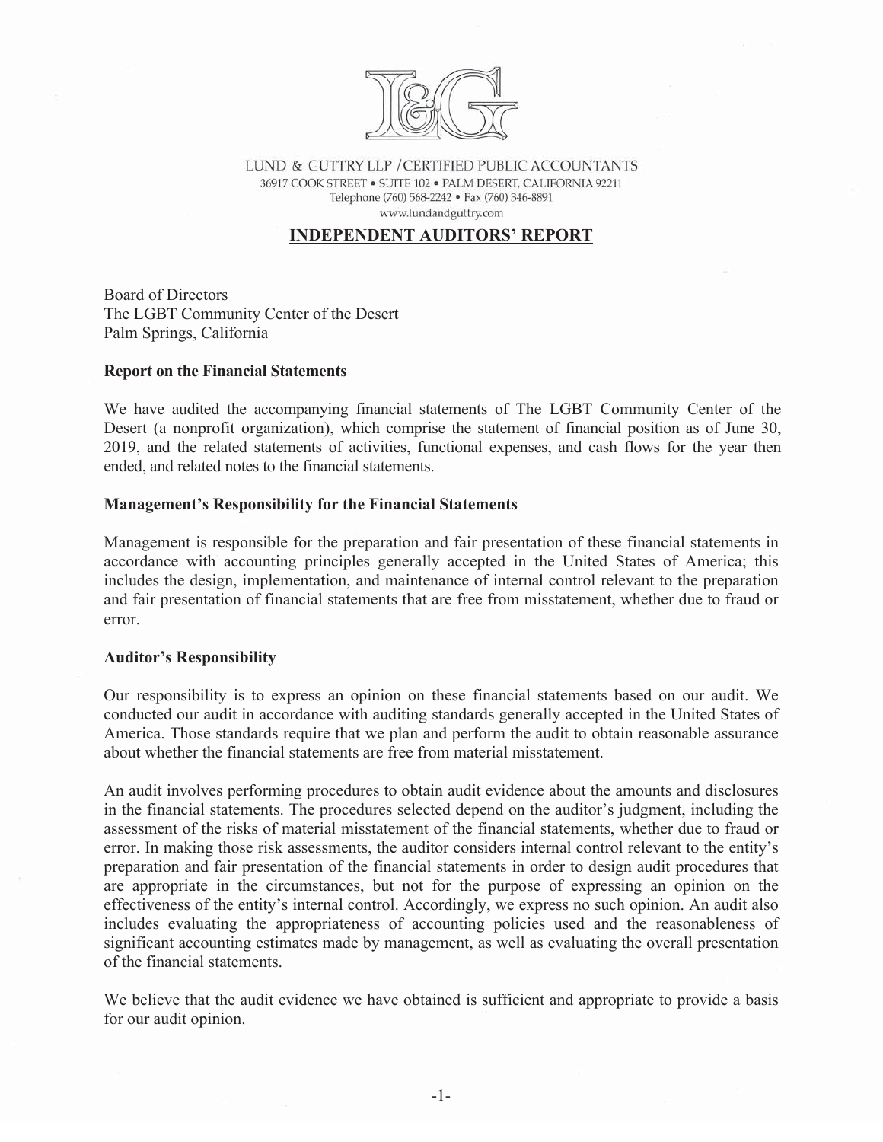

LUND & GUTTRY LLP / CERTIFIED PUBLIC ACCOUNTANTS 36917 COOK STREET . SUITE 102 . PALM DESERT, CALIFORNIA 92211 Telephone (760) 568-2242 · Fax (760) 346-8891 www.lundandguttry.com

### **INDEPENDENT AUDITORS' REPORT**

**Board of Directors** The LGBT Community Center of the Desert Palm Springs, California

### **Report on the Financial Statements**

We have audited the accompanying financial statements of The LGBT Community Center of the Desert (a nonprofit organization), which comprise the statement of financial position as of June 30, 2019, and the related statements of activities, functional expenses, and cash flows for the year then ended, and related notes to the financial statements.

### **Management's Responsibility for the Financial Statements**

Management is responsible for the preparation and fair presentation of these financial statements in accordance with accounting principles generally accepted in the United States of America; this includes the design, implementation, and maintenance of internal control relevant to the preparation and fair presentation of financial statements that are free from misstatement, whether due to fraud or error.

### **Auditor's Responsibility**

Our responsibility is to express an opinion on these financial statements based on our audit. We conducted our audit in accordance with auditing standards generally accepted in the United States of America. Those standards require that we plan and perform the audit to obtain reasonable assurance about whether the financial statements are free from material misstatement.

An audit involves performing procedures to obtain audit evidence about the amounts and disclosures in the financial statements. The procedures selected depend on the auditor's judgment, including the assessment of the risks of material misstatement of the financial statements, whether due to fraud or error. In making those risk assessments, the auditor considers internal control relevant to the entity's preparation and fair presentation of the financial statements in order to design audit procedures that are appropriate in the circumstances, but not for the purpose of expressing an opinion on the effectiveness of the entity's internal control. Accordingly, we express no such opinion. An audit also includes evaluating the appropriateness of accounting policies used and the reasonableness of significant accounting estimates made by management, as well as evaluating the overall presentation of the financial statements.

We believe that the audit evidence we have obtained is sufficient and appropriate to provide a basis for our audit opinion.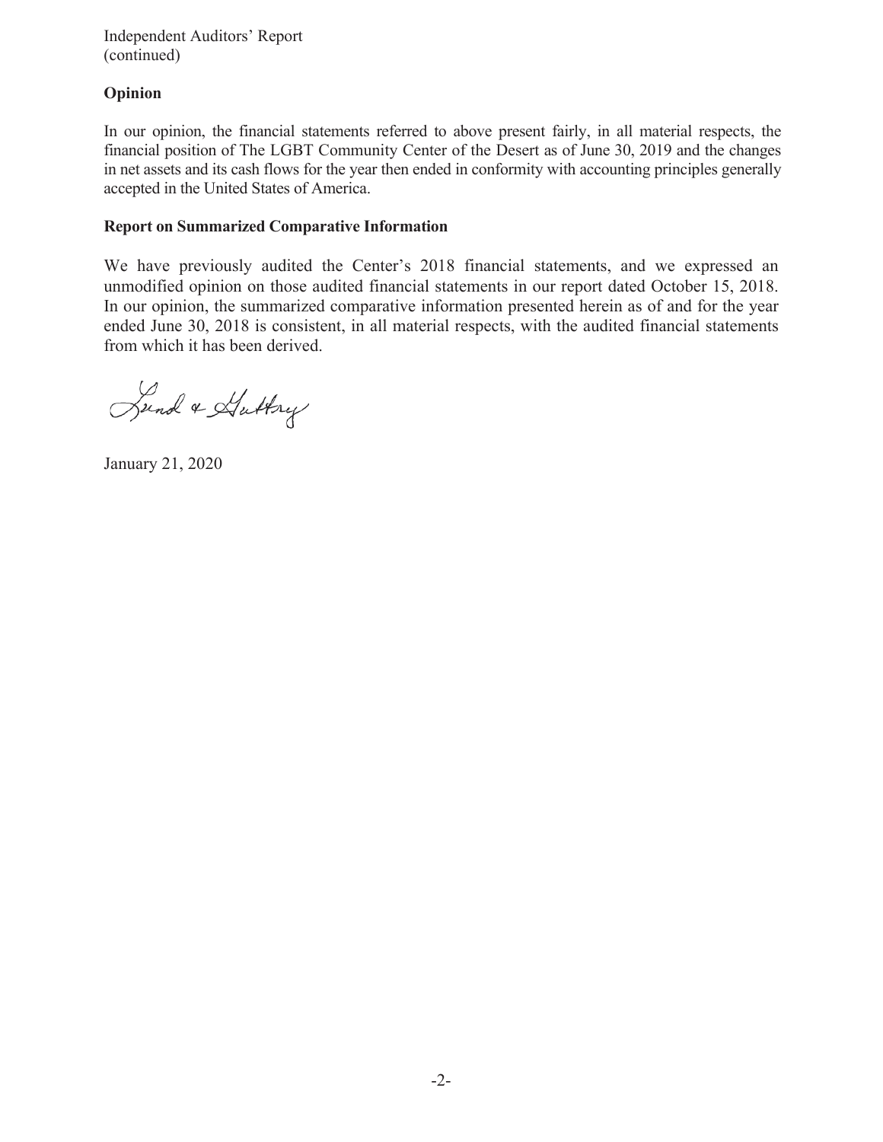**Independent Auditors' Report** (continued)

### Opinion

In our opinion, the financial statements referred to above present fairly, in all material respects, the financial position of The LGBT Community Center of the Desert as of June 30, 2019 and the changes in net assets and its cash flows for the year then ended in conformity with accounting principles generally accepted in the United States of America.

### **Report on Summarized Comparative Information**

We have previously audited the Center's 2018 financial statements, and we expressed an unmodified opinion on those audited financial statements in our report dated October 15, 2018. In our opinion, the summarized comparative information presented herein as of and for the year ended June 30, 2018 is consistent, in all material respects, with the audited financial statements from which it has been derived.

Sund & Huttry

January 21, 2020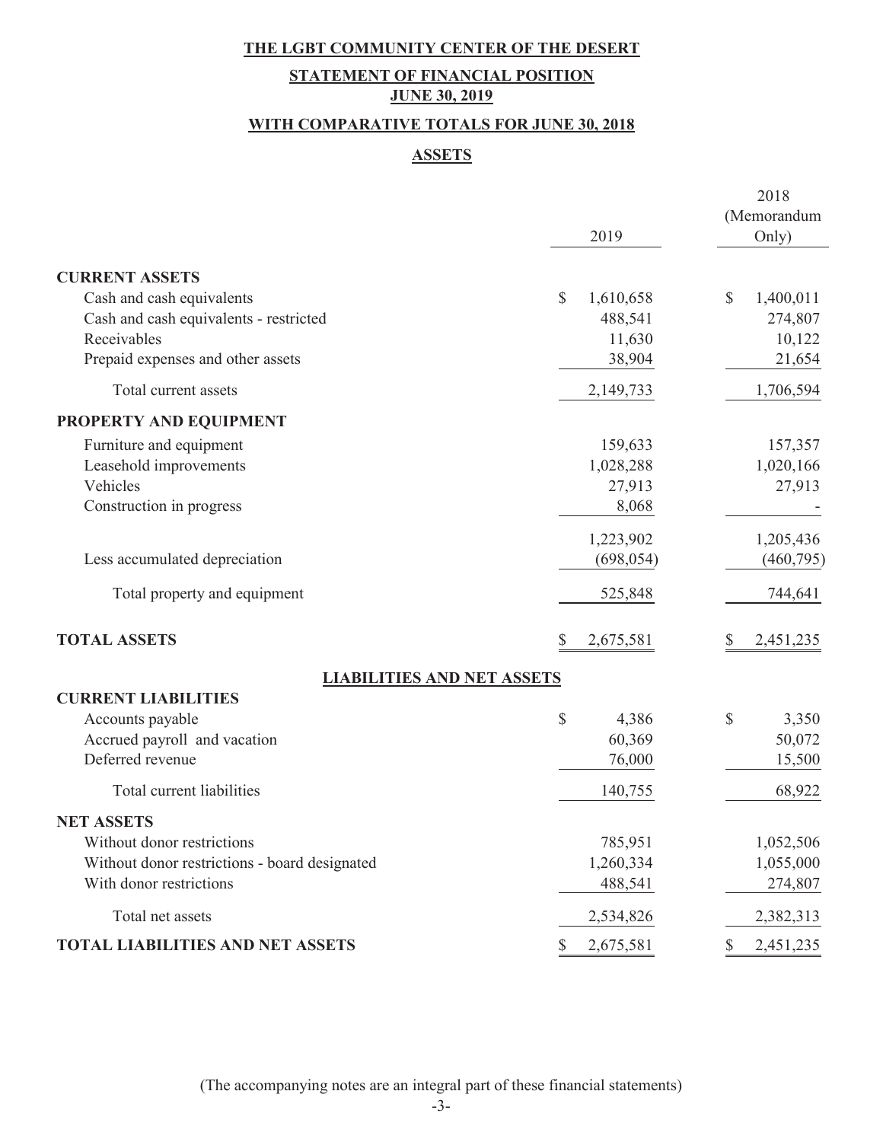# **STATEMENT OF FINANCIAL POSITION JUNE 30, 2019**

## **WITH COMPARATIVE TOTALS FOR JUNE 30, 2018**

### **ASSETS**

|                                               |                 | 2018<br>(Memorandum |
|-----------------------------------------------|-----------------|---------------------|
|                                               | 2019            | Only)               |
| <b>CURRENT ASSETS</b>                         |                 |                     |
| Cash and cash equivalents                     | \$<br>1,610,658 | \$<br>1,400,011     |
| Cash and cash equivalents - restricted        | 488,541         | 274,807             |
| Receivables                                   | 11,630          | 10,122              |
| Prepaid expenses and other assets             | 38,904          | 21,654              |
| Total current assets                          | 2,149,733       | 1,706,594           |
| PROPERTY AND EQUIPMENT                        |                 |                     |
| Furniture and equipment                       | 159,633         | 157,357             |
| Leasehold improvements                        | 1,028,288       | 1,020,166           |
| Vehicles                                      | 27,913          | 27,913              |
| Construction in progress                      | 8,068           |                     |
|                                               | 1,223,902       | 1,205,436           |
| Less accumulated depreciation                 | (698, 054)      | (460, 795)          |
| Total property and equipment                  | 525,848         | 744,641             |
| <b>TOTAL ASSETS</b>                           | \$<br>2,675,581 | 2,451,235<br>\$     |
| <b>LIABILITIES AND NET ASSETS</b>             |                 |                     |
| <b>CURRENT LIABILITIES</b>                    |                 |                     |
| Accounts payable                              | \$<br>4,386     | \$<br>3,350         |
| Accrued payroll and vacation                  | 60,369          | 50,072              |
| Deferred revenue                              | 76,000          | 15,500              |
| Total current liabilities                     | 140,755         | 68,922              |
| <b>NET ASSETS</b>                             |                 |                     |
| Without donor restrictions                    | 785,951         | 1,052,506           |
| Without donor restrictions - board designated | 1,260,334       | 1,055,000           |
| With donor restrictions                       | 488,541         | 274,807             |
| Total net assets                              | 2,534,826       | 2,382,313           |
| <b>TOTAL LIABILITIES AND NET ASSETS</b>       | 2,675,581<br>\$ | 2,451,235<br>\$     |

(The accompanying notes are an integral part of these financial statements)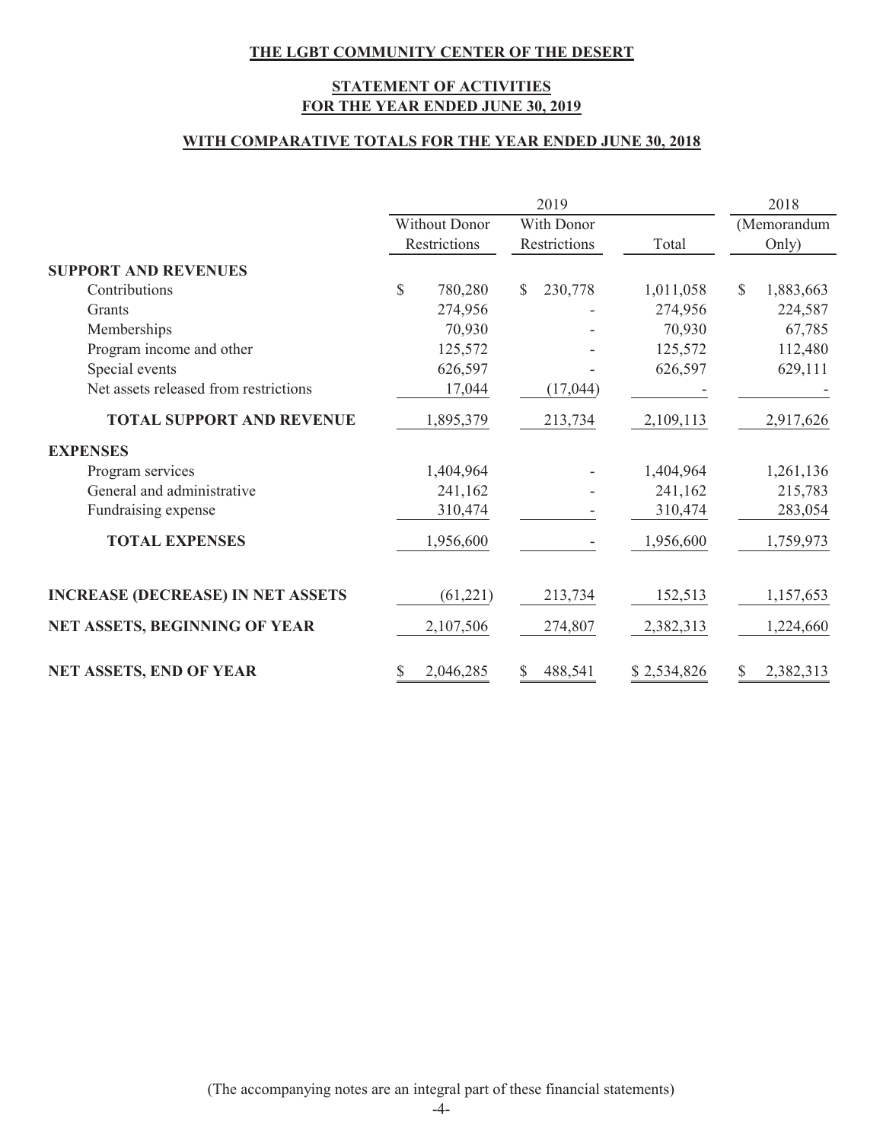### **STATEMENT OF ACTIVITIES FOR THE YEAR ENDED JUNE 30, 2019**

### **WITH COMPARATIVE TOTALS FOR THE YEAR ENDED JUNE 30, 2018**

|                                          |              |                      |    | 2019         |             |    | 2018        |
|------------------------------------------|--------------|----------------------|----|--------------|-------------|----|-------------|
|                                          |              | <b>Without Donor</b> |    | With Donor   |             |    | (Memorandum |
|                                          |              | Restrictions         |    | Restrictions | Total       |    | Only)       |
| <b>SUPPORT AND REVENUES</b>              |              |                      |    |              |             |    |             |
| Contributions                            | $\mathbb{S}$ | 780,280              | S. | 230,778      | 1,011,058   | S. | 1,883,663   |
| Grants                                   |              | 274,956              |    |              | 274,956     |    | 224,587     |
| Memberships                              |              | 70,930               |    |              | 70,930      |    | 67,785      |
| Program income and other                 |              | 125,572              |    |              | 125,572     |    | 112,480     |
| Special events                           |              | 626,597              |    |              | 626,597     |    | 629,111     |
| Net assets released from restrictions    |              | 17,044               |    | (17,044)     |             |    |             |
| <b>TOTAL SUPPORT AND REVENUE</b>         |              | 1,895,379            |    | 213,734      | 2,109,113   |    | 2,917,626   |
| <b>EXPENSES</b>                          |              |                      |    |              |             |    |             |
| Program services                         |              | 1,404,964            |    |              | 1,404,964   |    | 1,261,136   |
| General and administrative               |              | 241,162              |    |              | 241,162     |    | 215,783     |
| Fundraising expense                      |              | 310,474              |    |              | 310,474     |    | 283,054     |
| <b>TOTAL EXPENSES</b>                    |              | 1,956,600            |    |              | 1,956,600   |    | 1,759,973   |
| <b>INCREASE (DECREASE) IN NET ASSETS</b> |              | (61, 221)            |    | 213,734      | 152,513     |    | 1,157,653   |
| NET ASSETS, BEGINNING OF YEAR            |              | 2,107,506            |    | 274,807      | 2,382,313   |    | 1,224,660   |
| NET ASSETS, END OF YEAR                  |              | 2,046,285            | \$ | 488,541      | \$2,534,826 |    | 2,382,313   |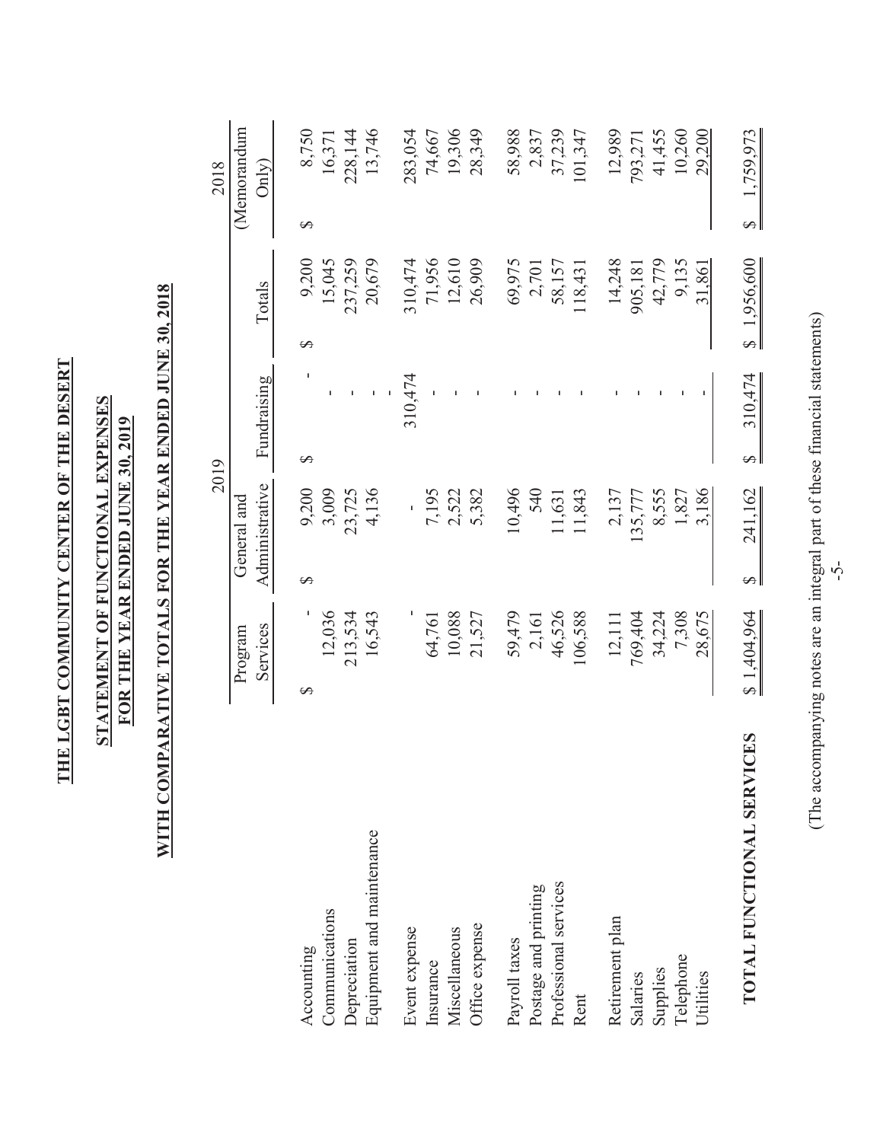| ֧֧֧֧֧֧ׅ֧ׅ֧֧ׅ֧֧֧֛֧֛֛֪֧֛֪ׅ֧֚֚֚֚֚֚֚֚֚֚֚֚֚֚֚֚֚֚֚֚֚֚֚֚֚֚֚֚֡֝֓֝֓֝֟֓֝֓֝֓֜֜֓֝֓֜֝֓֝֓֝֓֝֓                                                                                                                                                      |  |
|--------------------------------------------------------------------------------------------------------------------------------------------------------------------------------------------------------------------------------------|--|
| <b>EXPLANA EXPERIENCE AND RESERVANCES AND RESERVED FOR A SECTION AND RESERVED FOR A SECTION AND RESERVED FOR A SECTION AND RESPONSE TO A SECTION AND RESPONSE TO A SECTION AND RESPONSE TO A SECTION AND RESPONSE TO A SECTION A</b> |  |
| .<br>[                                                                                                                                                                                                                               |  |

# **STATEMENT OF FUNCTIONAL EXPENSES STATEMENT OF FUNCTIONAL EXPENSES** FOR THE YEAR ENDED JUNE 30, 2019 **FOR THE YEAR ENDED JUNE 30, 2019**

# WITH COMPARATIVE TOTALS FOR THE YEAR ENDED JUNE 30, 2018 **WITH COMPARATIVE TOTALS FOR THE YEAR ENDED JUNE 30, 2018**

|                           |             |          | 2019           |          |             |   |             |          | 2018        |  |
|---------------------------|-------------|----------|----------------|----------|-------------|---|-------------|----------|-------------|--|
|                           | Program     |          | General and    |          |             |   |             |          | (Memorandum |  |
|                           | Services    |          | Administrative |          | Fundraising |   | Totals      |          | On(y)       |  |
|                           |             |          |                |          |             |   |             |          |             |  |
| Accounting                | ↔           | $\Theta$ | 9,200          | $\Theta$ |             | ↔ | 9,200       | $\Theta$ | 8,750       |  |
| Communications            | 12,036      |          | 3,009          |          |             |   | 15,045      |          | 16,371      |  |
| Depreciation              | 213,534     |          | 23,725         |          |             |   | 237,259     |          | 228,144     |  |
| Equipment and maintenance | 16,543      |          | 4,136          |          |             |   | 20,679      |          | 13,746      |  |
| Event expense             |             |          |                |          | 310,474     |   | 310,474     |          | 283,054     |  |
| Insurance                 | 64,761      |          | 7,195          |          |             |   | 71,956      |          | 74,667      |  |
| Miscellaneous             | 10,088      |          | 2,522          |          |             |   | 12,610      |          | 19,306      |  |
| Office expense            | 21,527      |          | 5,382          |          |             |   | 26,909      |          | 28,349      |  |
| Payroll taxes             | 59,479      |          | 10,496         |          |             |   | 69,975      |          | 58,988      |  |
| Postage and printing      | 2,161       |          | 540            |          |             |   | 2,701       |          | 2,837       |  |
| Professional services     | 46,526      |          | 11,631         |          |             |   | 58,157      |          | 37,239      |  |
| Rent                      | 106,588     |          | 11,843         |          |             |   | 118,431     |          | 101,347     |  |
| Retirement plan           | 12,111      |          | 2,137          |          |             |   | 14,248      |          | 12,989      |  |
| Salaries                  | 769,404     |          | 135,777        |          |             |   | 905,181     |          | 793,271     |  |
| Supplies                  | 34,224      |          | 8,555          |          |             |   | 42,779      |          | 41,455      |  |
| Telephone                 | 7,308       |          | 1,827          |          |             |   | 9,135       |          | 10,260      |  |
| Utilities                 | 28,675      |          | 3,186          |          |             |   | 31,861      |          | 29,200      |  |
| TOTAL FUNCTIONAL SERVICES | \$1,404,964 | S        | 241,162        | Ø        | 310,474     |   | \$1,956,600 | S        | 1,759,973   |  |

(The accompanying notes are an integral part of these financial statements) (The accompanying notes are an integral part of these financial statements)

 $\mathbf l$ 

-5-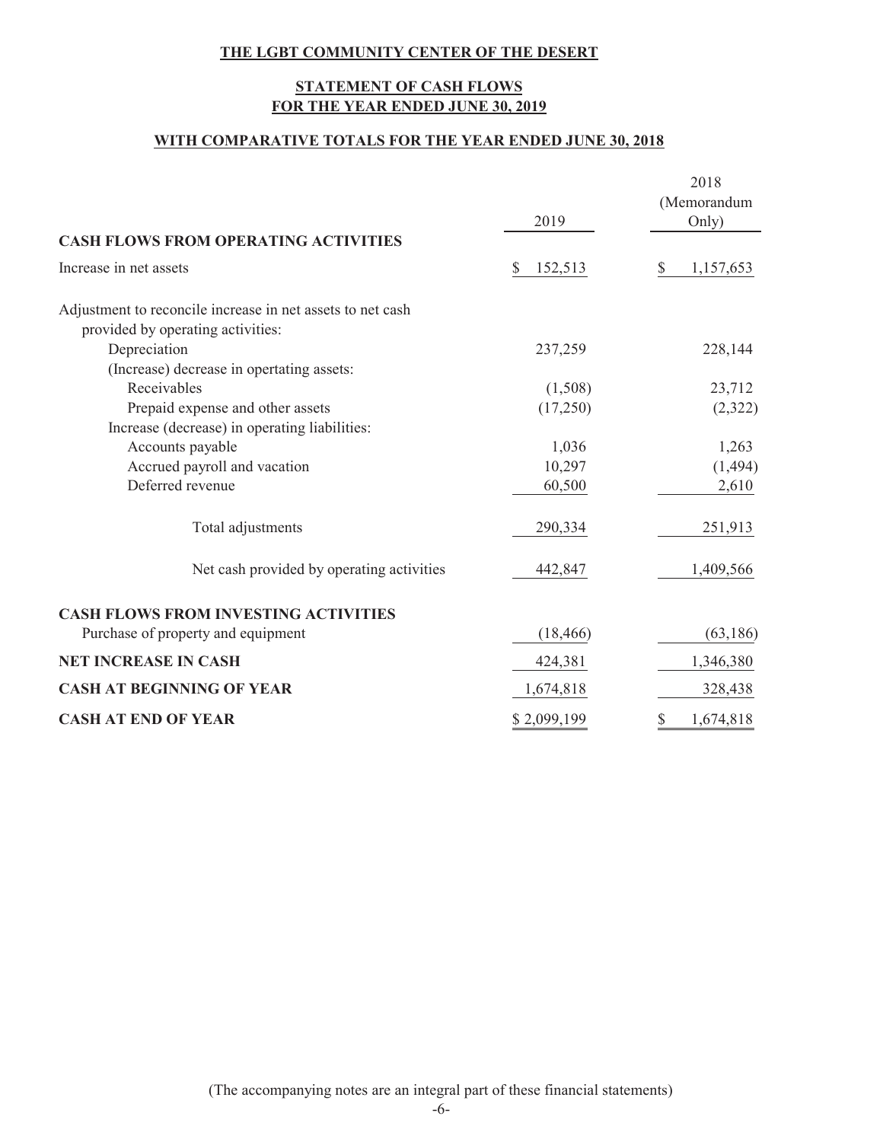### **STATEMENT OF CASH FLOWS FOR THE YEAR ENDED JUNE 30, 2019**

### **WITH COMPARATIVE TOTALS FOR THE YEAR ENDED JUNE 30, 2018**

|                                                                                                 | 2019          | 2018<br>(Memorandum<br>Only) |
|-------------------------------------------------------------------------------------------------|---------------|------------------------------|
| <b>CASH FLOWS FROM OPERATING ACTIVITIES</b>                                                     |               |                              |
| Increase in net assets                                                                          | \$<br>152,513 | \$<br>1,157,653              |
| Adjustment to reconcile increase in net assets to net cash<br>provided by operating activities: |               |                              |
| Depreciation                                                                                    | 237,259       | 228,144                      |
| (Increase) decrease in opertating assets:                                                       |               |                              |
| Receivables                                                                                     | (1,508)       | 23,712                       |
| Prepaid expense and other assets                                                                | (17,250)      | (2,322)                      |
| Increase (decrease) in operating liabilities:                                                   |               |                              |
| Accounts payable                                                                                | 1,036         | 1,263                        |
| Accrued payroll and vacation                                                                    | 10,297        | (1, 494)                     |
| Deferred revenue                                                                                | 60,500        | 2,610                        |
| Total adjustments                                                                               | 290,334       | 251,913                      |
| Net cash provided by operating activities                                                       | 442,847       | 1,409,566                    |
| <b>CASH FLOWS FROM INVESTING ACTIVITIES</b>                                                     |               |                              |
| Purchase of property and equipment                                                              | (18, 466)     | (63, 186)                    |
| <b>NET INCREASE IN CASH</b>                                                                     | 424,381       | 1,346,380                    |
| <b>CASH AT BEGINNING OF YEAR</b>                                                                | 1,674,818     | 328,438                      |
| <b>CASH AT END OF YEAR</b>                                                                      | \$2,099,199   | 1,674,818<br>\$              |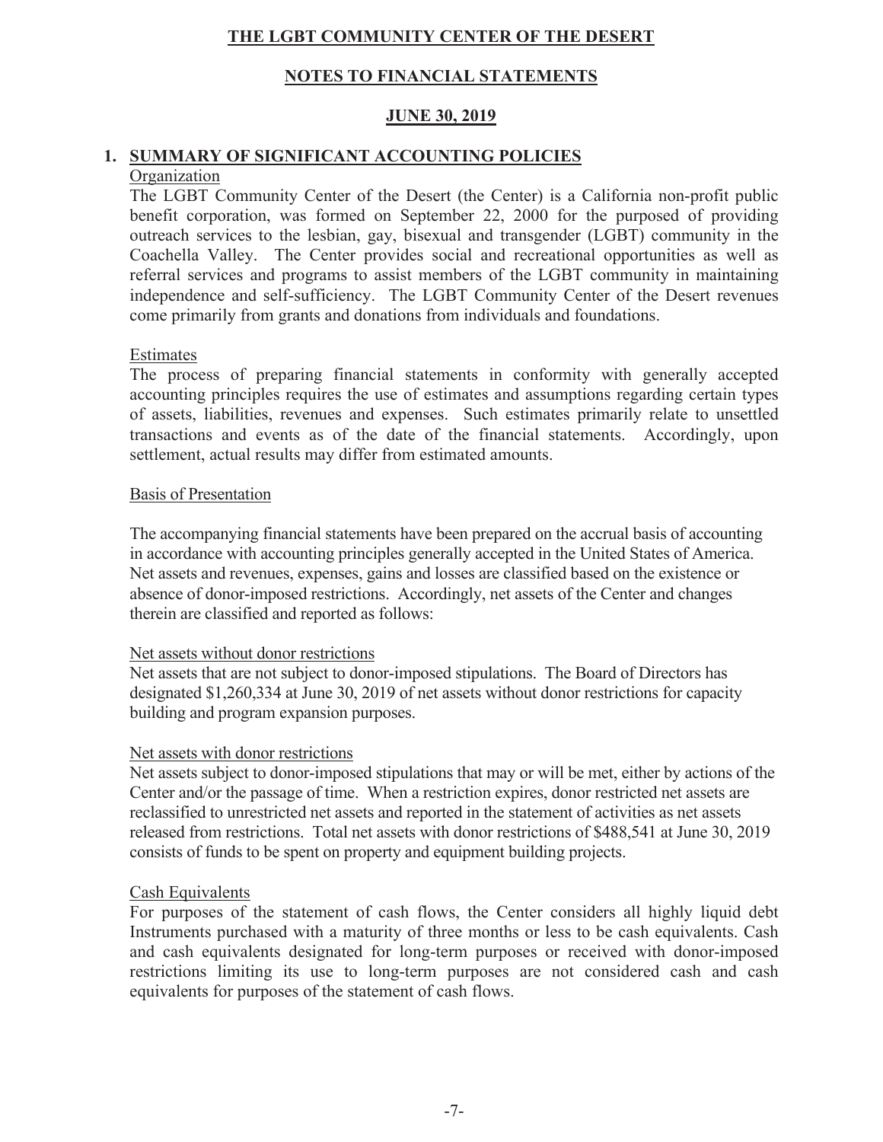### **NOTES TO FINANCIAL STATEMENTS**

### **JUNE 30, 2019**

# 1. SUMMARY OF SIGNIFICANT ACCOUNTING POLICIES

### Organization

The LGBT Community Center of the Desert (the Center) is a California non-profit public benefit corporation, was formed on September 22, 2000 for the purposed of providing outreach services to the lesbian, gay, bisexual and transgender (LGBT) community in the Coachella Valley. The Center provides social and recreational opportunities as well as referral services and programs to assist members of the LGBT community in maintaining independence and self-sufficiency. The LGBT Community Center of the Desert revenues come primarily from grants and donations from individuals and foundations.

### Estimates

The process of preparing financial statements in conformity with generally accepted accounting principles requires the use of estimates and assumptions regarding certain types of assets, liabilities, revenues and expenses. Such estimates primarily relate to unsettled transactions and events as of the date of the financial statements. Accordingly, upon settlement, actual results may differ from estimated amounts.

### Basis of Presentation

The accompanying financial statements have been prepared on the accrual basis of accounting in accordance with accounting principles generally accepted in the United States of America. Net assets and revenues, expenses, gains and losses are classified based on the existence or absence of donor-imposed restrictions. Accordingly, net assets of the Center and changes therein are classified and reported as follows:

### Net assets without donor restrictions

Net assets that are not subject to donor-imposed stipulations. The Board of Directors has designated \$1,260,334 at June 30, 2019 of net assets without donor restrictions for capacity building and program expansion purposes.

### Net assets with donor restrictions

Net assets subject to donor-imposed stipulations that may or will be met, either by actions of the Center and/or the passage of time. When a restriction expires, donor restricted net assets are reclassified to unrestricted net assets and reported in the statement of activities as net assets released from restrictions. Total net assets with donor restrictions of \$488,541 at June 30, 2019 consists of funds to be spent on property and equipment building projects.

### Cash Equivalents

For purposes of the statement of cash flows, the Center considers all highly liquid debt Instruments purchased with a maturity of three months or less to be cash equivalents. Cash and cash equivalents designated for long-term purposes or received with donor-imposed restrictions limiting its use to long-term purposes are not considered cash and cash equivalents for purposes of the statement of cash flows.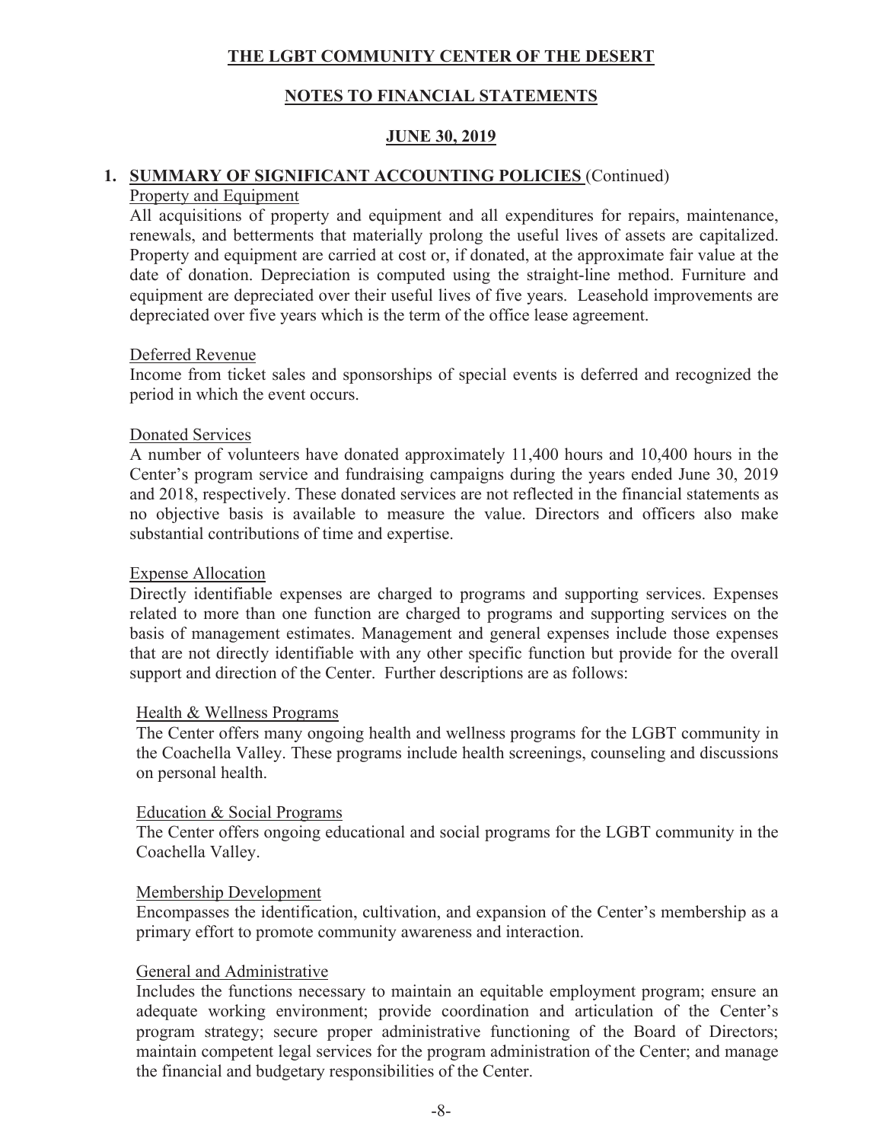### **NOTES TO FINANCIAL STATEMENTS**

### **JUNE 30, 2019**

# 1. SUMMARY OF SIGNIFICANT ACCOUNTING POLICIES (Continued)

### Property and Equipment

All acquisitions of property and equipment and all expenditures for repairs, maintenance, renewals, and betterments that materially prolong the useful lives of assets are capitalized. Property and equipment are carried at cost or, if donated, at the approximate fair value at the date of donation. Depreciation is computed using the straight-line method. Furniture and equipment are depreciated over their useful lives of five years. Leasehold improvements are depreciated over five years which is the term of the office lease agreement.

### Deferred Revenue

Income from ticket sales and sponsorships of special events is deferred and recognized the period in which the event occurs.

### **Donated Services**

A number of volunteers have donated approximately 11,400 hours and 10,400 hours in the Center's program service and fundraising campaigns during the years ended June 30, 2019 and 2018, respectively. These donated services are not reflected in the financial statements as no objective basis is available to measure the value. Directors and officers also make substantial contributions of time and expertise.

### **Expense Allocation**

Directly identifiable expenses are charged to programs and supporting services. Expenses related to more than one function are charged to programs and supporting services on the basis of management estimates. Management and general expenses include those expenses that are not directly identifiable with any other specific function but provide for the overall support and direction of the Center. Further descriptions are as follows:

### Health & Wellness Programs

The Center offers many ongoing health and wellness programs for the LGBT community in the Coachella Valley. These programs include health screenings, counseling and discussions on personal health.

### Education & Social Programs

The Center offers ongoing educational and social programs for the LGBT community in the Coachella Valley.

### Membership Development

Encompasses the identification, cultivation, and expansion of the Center's membership as a primary effort to promote community awareness and interaction.

### General and Administrative

Includes the functions necessary to maintain an equitable employment program; ensure an adequate working environment; provide coordination and articulation of the Center's program strategy; secure proper administrative functioning of the Board of Directors; maintain competent legal services for the program administration of the Center; and manage the financial and budgetary responsibilities of the Center.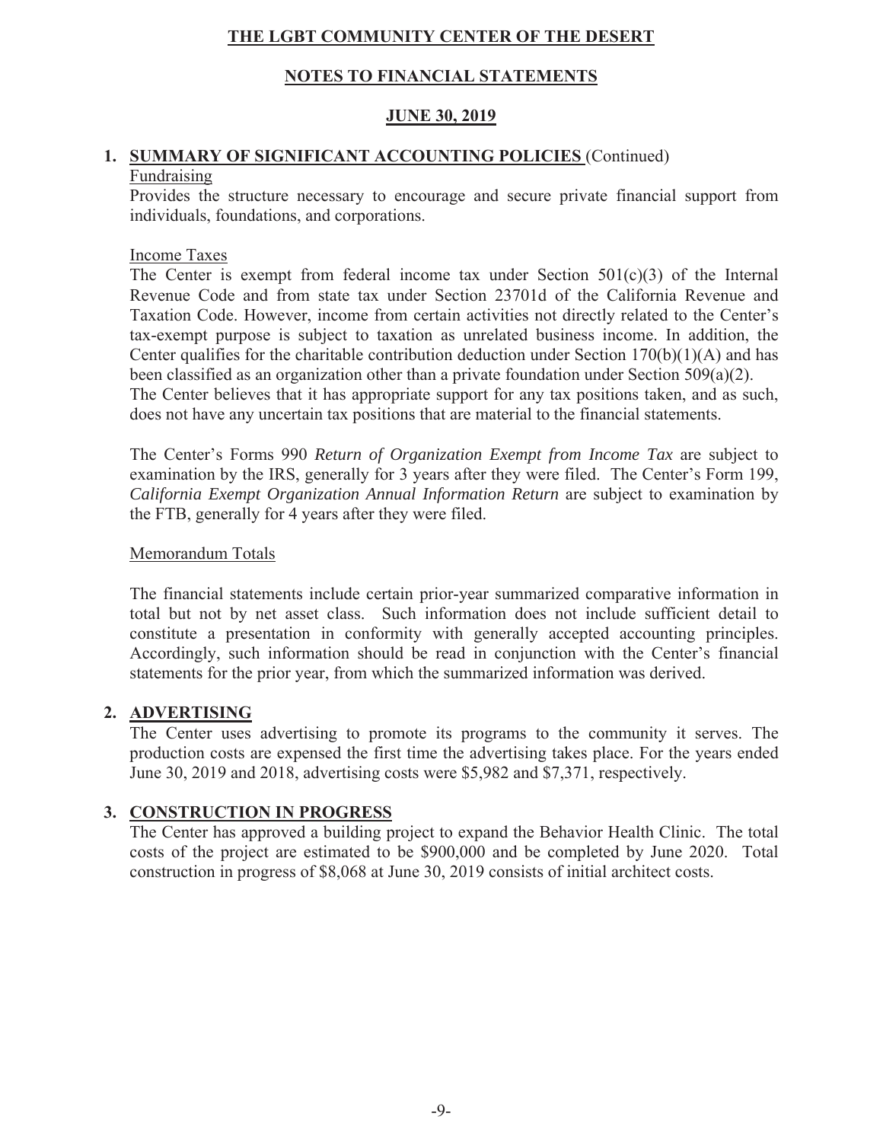### **NOTES TO FINANCIAL STATEMENTS**

### <u>JUNE 30, 2019</u>

### 1. SUMMARY OF SIGNIFICANT ACCOUNTING POLICIES (Continued) Fundraising

Provides the structure necessary to encourage and secure private financial support from individuals, foundations, and corporations.

### **Income Taxes**

The Center is exempt from federal income tax under Section  $501(c)(3)$  of the Internal Revenue Code and from state tax under Section 23701d of the California Revenue and Taxation Code. However, income from certain activities not directly related to the Center's tax-exempt purpose is subject to taxation as unrelated business income. In addition, the Center qualifies for the charitable contribution deduction under Section  $170(b)(1)(A)$  and has been classified as an organization other than a private foundation under Section  $509(a)(2)$ .

The Center believes that it has appropriate support for any tax positions taken, and as such, does not have any uncertain tax positions that are material to the financial statements.

The Center's Forms 990 Return of Organization Exempt from Income Tax are subject to examination by the IRS, generally for 3 years after they were filed. The Center's Form 199, California Exempt Organization Annual Information Return are subject to examination by the FTB, generally for 4 years after they were filed.

### Memorandum Totals

The financial statements include certain prior-year summarized comparative information in total but not by net asset class. Such information does not include sufficient detail to constitute a presentation in conformity with generally accepted accounting principles. Accordingly, such information should be read in conjunction with the Center's financial statements for the prior year, from which the summarized information was derived.

### 2. ADVERTISING

The Center uses advertising to promote its programs to the community it serves. The production costs are expensed the first time the advertising takes place. For the years ended June 30, 2019 and 2018, advertising costs were \$5,982 and \$7,371, respectively.

### 3. CONSTRUCTION IN PROGRESS

The Center has approved a building project to expand the Behavior Health Clinic. The total costs of the project are estimated to be \$900,000 and be completed by June 2020. Total construction in progress of \$8,068 at June 30, 2019 consists of initial architect costs.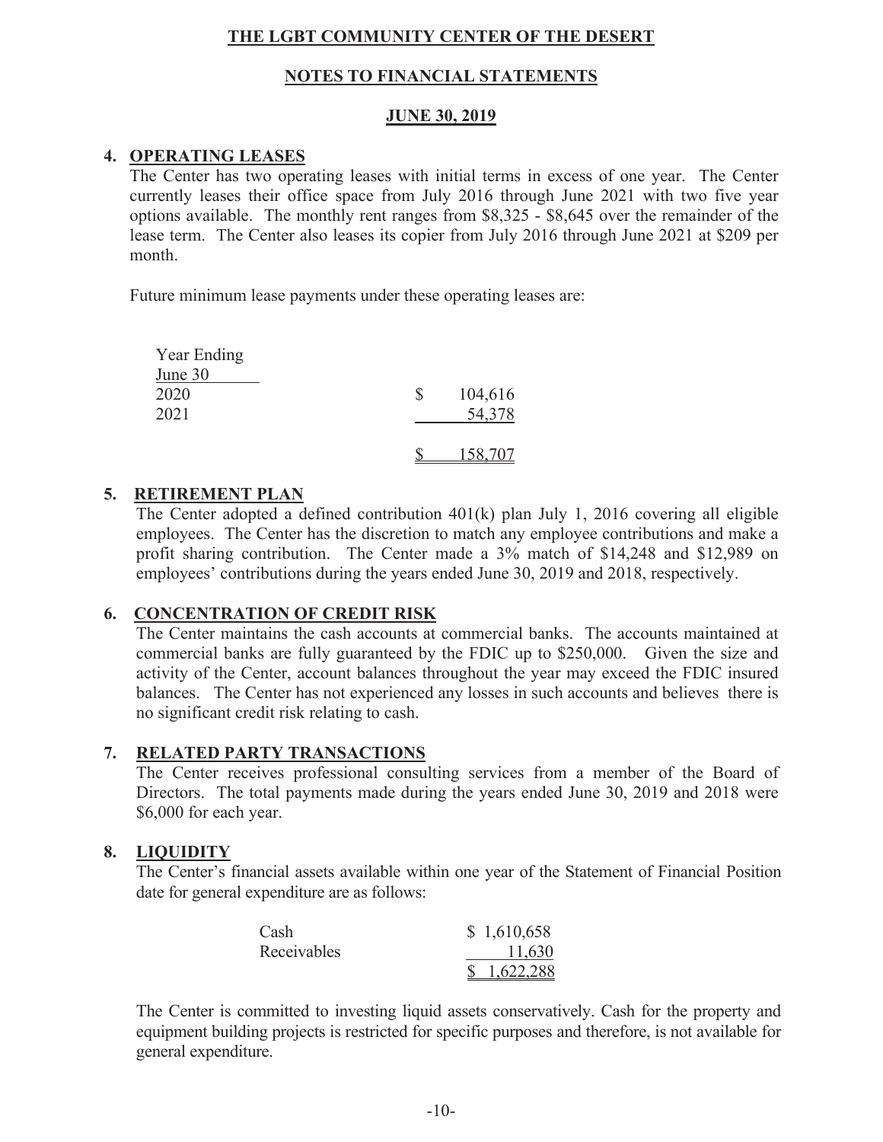### **NOTES TO FINANCIAL STATEMENTS**

### **JUNE 30, 2019**

### 4. OPERATING LEASES

The Center has two operating leases with initial terms in excess of one year. The Center currently leases their office space from July 2016 through June 2021 with two five year options available. The monthly rent ranges from \$8,325 - \$8,645 over the remainder of the lease term. The Center also leases its copier from July 2016 through June 2021 at \$209 per month.

Future minimum lease payments under these operating leases are:

| Year Ending    |          |         |
|----------------|----------|---------|
| <u>June 30</u> |          |         |
| 2020           | <b>S</b> | 104,616 |
| 2021           |          | 54,378  |
|                |          |         |
|                |          | 158,707 |

### 5. RETIREMENT PLAN

The Center adopted a defined contribution 401(k) plan July 1, 2016 covering all eligible employees. The Center has the discretion to match any employee contributions and make a profit sharing contribution. The Center made a 3% match of \$14,248 and \$12,989 on employees' contributions during the years ended June 30, 2019 and 2018, respectively.

### **6. CONCENTRATION OF CREDIT RISK**

The Center maintains the cash accounts at commercial banks. The accounts maintained at commercial banks are fully guaranteed by the FDIC up to \$250,000. Given the size and activity of the Center, account balances throughout the year may exceed the FDIC insured balances. The Center has not experienced any losses in such accounts and believes there is no significant credit risk relating to cash.

### 7. RELATED PARTY TRANSACTIONS

The Center receives professional consulting services from a member of the Board of Directors. The total payments made during the years ended June 30, 2019 and 2018 were \$6,000 for each year.

### 8. LIQUIDITY

The Center's financial assets available within one year of the Statement of Financial Position date for general expenditure are as follows:

| Cash        | \$1,610,658 |
|-------------|-------------|
| Receivables | 11,630      |
|             | \$1,622,288 |

The Center is committed to investing liquid assets conservatively. Cash for the property and equipment building projects is restricted for specific purposes and therefore, is not available for general expenditure.